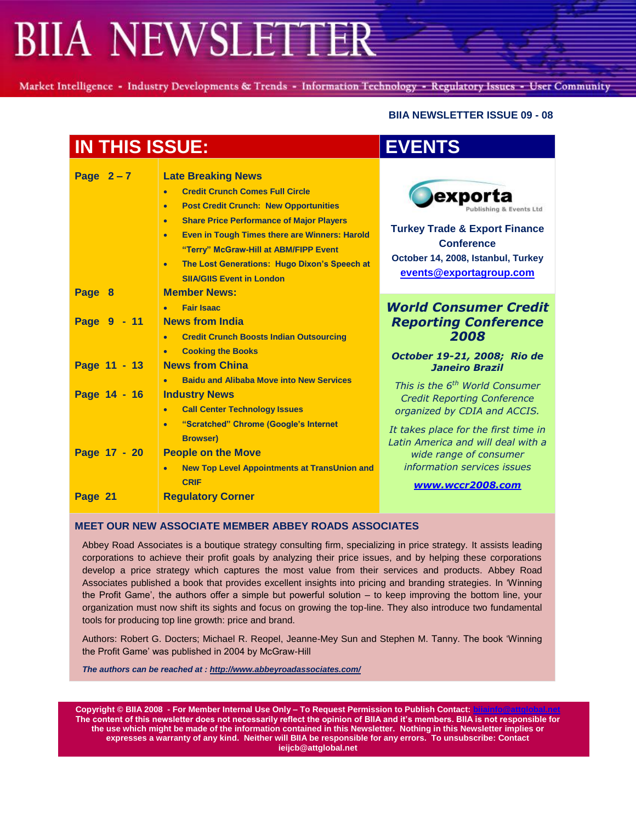Market Intelligence - Industry Developments & Trends - Information Technology - Regulatory Issues - User Community

### **BIIA NEWSLETTER ISSUE 09 - 08**

| <b>IN THIS ISSUE:</b> |                                                                                                                                                                                                                                                                                                                                                                                                                                        | <b>EVENTS</b>                                                                                                                                                       |
|-----------------------|----------------------------------------------------------------------------------------------------------------------------------------------------------------------------------------------------------------------------------------------------------------------------------------------------------------------------------------------------------------------------------------------------------------------------------------|---------------------------------------------------------------------------------------------------------------------------------------------------------------------|
| Page $2-7$            | <b>Late Breaking News</b><br><b>Credit Crunch Comes Full Circle</b><br><b>Post Credit Crunch: New Opportunities</b><br>$\bullet$<br><b>Share Price Performance of Major Players</b><br>$\bullet$<br><b>Even in Tough Times there are Winners: Harold</b><br>$\bullet$<br>"Terry" McGraw-Hill at ABM/FIPP Event<br>The Lost Generations: Hugo Dixon's Speech at<br>$\bullet$<br><b>SIIA/GIIS Event in London</b><br><b>Member News:</b> | exporta<br>ublishing & Events Ltd<br><b>Turkey Trade &amp; Export Finance</b><br><b>Conference</b><br>October 14, 2008, Istanbul, Turkey<br>events@exportagroup.com |
| Page 8<br>Page 9 - 11 | <b>Fair Isaac</b><br><b>News from India</b><br><b>Credit Crunch Boosts Indian Outsourcing</b><br>$\bullet$                                                                                                                                                                                                                                                                                                                             | <b>World Consumer Credit</b><br><b>Reporting Conference</b><br>2008                                                                                                 |
| Page 11 - 13          | <b>Cooking the Books</b><br><b>News from China</b><br><b>Baidu and Alibaba Move into New Services</b>                                                                                                                                                                                                                                                                                                                                  | October 19-21, 2008; Rio de<br><b>Janeiro Brazil</b>                                                                                                                |
| Page 14 - 16          | <b>Industry News</b><br><b>Call Center Technology Issues</b><br>$\bullet$<br>"Scratched" Chrome (Google's Internet<br>$\bullet$<br><b>Browser)</b>                                                                                                                                                                                                                                                                                     | This is the 6 <sup>th</sup> World Consumer<br><b>Credit Reporting Conference</b><br>organized by CDIA and ACCIS.<br>It takes place for the first time in            |
| Page 17 - 20          | <b>People on the Move</b><br><b>New Top Level Appointments at TransUnion and</b><br>$\bullet$<br><b>CRIF</b>                                                                                                                                                                                                                                                                                                                           | Latin America and will deal with a<br>wide range of consumer<br>information services issues<br>www.wccr2008.com                                                     |
| Page 21               | <b>Regulatory Corner</b>                                                                                                                                                                                                                                                                                                                                                                                                               |                                                                                                                                                                     |

### **MEET OUR NEW ASSOCIATE MEMBER ABBEY ROADS ASSOCIATES**

Abbey Road Associates is a boutique strategy consulting firm, specializing in price strategy. It assists leading corporations to achieve their profit goals by analyzing their price issues, and by helping these corporations develop a price strategy which captures the most value from their services and products. Abbey Road Associates published a book that provides excellent insights into pricing and branding strategies. In "Winning the Profit Game', the authors offer a simple but powerful solution  $-$  to keep improving the bottom line, your organization must now shift its sights and focus on growing the top-line. They also introduce two fundamental tools for producing top line growth: price and brand.

Authors: Robert G. Docters; Michael R. Reopel, Jeanne-Mey Sun and Stephen M. Tanny. The book "Winning the Profit Game' was published in 2004 by McGraw-Hill

*The authors can be reached at :<http://www.abbeyroadassociates.com/>*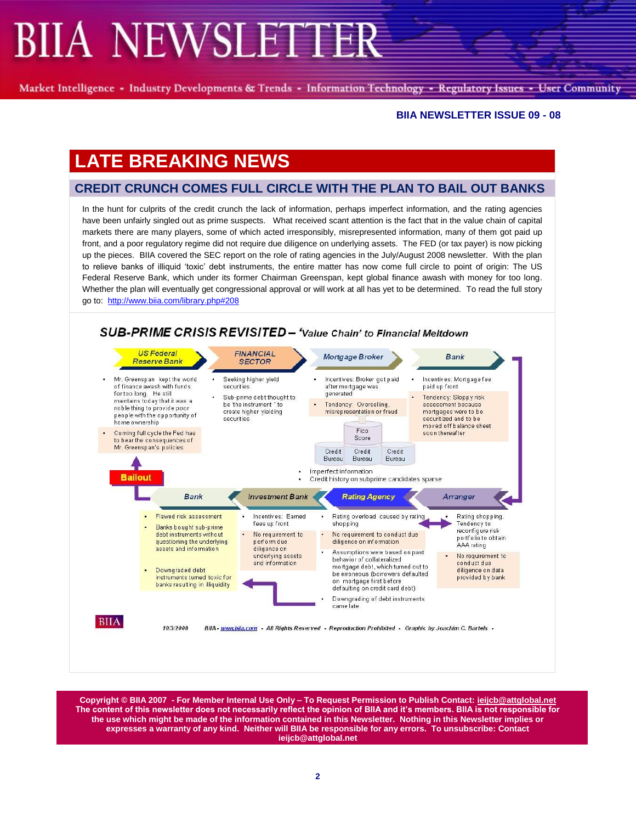Market Intelligence - Industry Developments & Trends - Information Technology - Regulatory Issues - User Community

#### **BIIA NEWSLETTER ISSUE 09 - 08**

# **LATE BREAKING NEWS**

## **CREDIT CRUNCH COMES FULL CIRCLE WITH THE PLAN TO BAIL OUT BANKS**

In the hunt for culprits of the credit crunch the lack of information, perhaps imperfect information, and the rating agencies have been unfairly singled out as prime suspects. What received scant attention is the fact that in the value chain of capital markets there are many players, some of which acted irresponsibly, misrepresented information, many of them got paid up front, and a poor regulatory regime did not require due diligence on underlying assets. The FED (or tax payer) is now picking up the pieces. BIIA covered the SEC report on the role of rating agencies in the July/August 2008 newsletter. With the plan to relieve banks of illiquid "toxic" debt instruments, the entire matter has now come full circle to point of origin: The US Federal Reserve Bank, which under its former Chairman Greenspan, kept global finance awash with money for too long. Whether the plan will eventually get congressional approval or will work at all has yet to be determined. To read the full story go to:<http://www.biia.com/library.php#208>

#### SUB-PRIME CRISIS REVISITED - 'Value Chain' to Financial Meltdown **US Federal FINANCIAL** Mortgage Broker **Bank Reserve Bank**

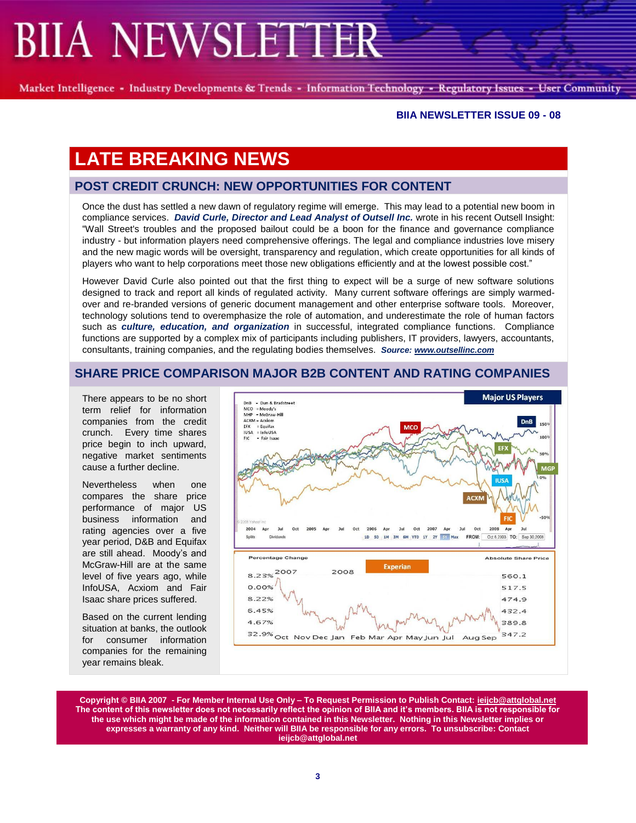Market Intelligence - Industry Developments & Trends - Information Technology - Regulatory Issues - User Community

#### **BIIA NEWSLETTER ISSUE 09 - 08**

# **LATE BREAKING NEWS**

## **POST CREDIT CRUNCH: NEW OPPORTUNITIES FOR CONTENT**

Once the dust has settled a new dawn of regulatory regime will emerge. This may lead to a potential new boom in compliance services. *David Curle, Director and Lead Analyst of Outsell Inc.* wrote in his recent Outsell Insight: "Wall Street's troubles and the proposed bailout could be a boon for the finance and governance compliance industry - but information players need comprehensive offerings. The legal and compliance industries love misery and the new magic words will be oversight, transparency and regulation, which create opportunities for all kinds of players who want to help corporations meet those new obligations efficiently and at the lowest possible cost."

However David Curle also pointed out that the first thing to expect will be a surge of new software solutions designed to track and report all kinds of regulated activity. Many current software offerings are simply warmedover and re-branded versions of generic document management and other enterprise software tools. Moreover, technology solutions tend to overemphasize the role of automation, and underestimate the role of human factors such as *culture, education, and organization* in successful, integrated compliance functions. Compliance functions are supported by a complex mix of participants including publishers, IT providers, lawyers, accountants, consultants, training companies, and the regulating bodies themselves. *Source: [www.outsellinc.com](http://www.outsellinc.com/)*

## **SHARE PRICE COMPARISON MAJOR B2B CONTENT AND RATING COMPANIES**

There appears to be no short term relief for information companies from the credit crunch. Every time shares price begin to inch upward, negative market sentiments cause a further decline.

Nevertheless when one compares the share price performance of major US business information and rating agencies over a five year period, D&B and Equifax are still ahead. Moody's and McGraw-Hill are at the same level of five years ago, while InfoUSA, Acxiom and Fair Isaac share prices suffered.

Based on the current lending situation at banks, the outlook for consumer information companies for the remaining year remains bleak.

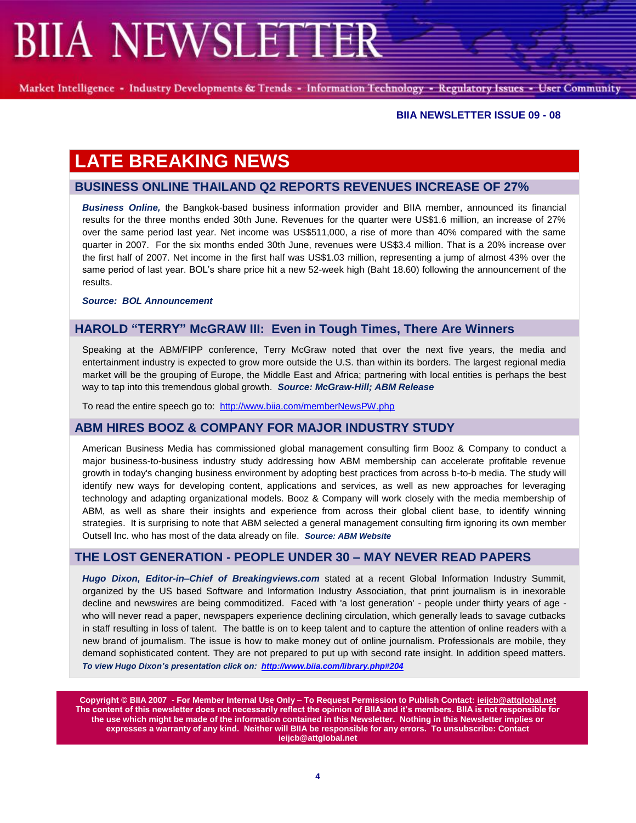Market Intelligence - Industry Developments & Trends - Information Technology - Regulatory Issues - User Community

### **BIIA NEWSLETTER ISSUE 09 - 08**

# **LATE BREAKING NEWS**

## **BUSINESS ONLINE THAILAND Q2 REPORTS REVENUES INCREASE OF 27%**

*Business Online,* the Bangkok-based business information provider and BIIA member, announced its financial results for the three months ended 30th June. Revenues for the quarter were US\$1.6 million, an increase of 27% over the same period last year. Net income was US\$511,000, a rise of more than 40% compared with the same quarter in 2007. For the six months ended 30th June, revenues were US\$3.4 million. That is a 20% increase over the first half of 2007. Net income in the first half was US\$1.03 million, representing a jump of almost 43% over the same period of last year. BOL's share price hit a new 52-week high (Baht 18.60) following the announcement of the results.

*Source: BOL Announcement*

## **HAROLD "TERRY" McGRAW III: Even in Tough Times, There Are Winners**

Speaking at the ABM/FIPP conference, Terry McGraw noted that over the next five years, the media and entertainment industry is expected to grow more outside the U.S. than within its borders. The largest regional media market will be the grouping of Europe, the Middle East and Africa; partnering with local entities is perhaps the best way to tap into this tremendous global growth. *Source: McGraw-Hill; ABM Release*

To read the entire speech go to: <http://www.biia.com/memberNewsPW.php>

## **ABM HIRES BOOZ & COMPANY FOR MAJOR INDUSTRY STUDY**

American Business Media has commissioned global management consulting firm Booz & Company to conduct a major business-to-business industry study addressing how ABM membership can accelerate profitable revenue growth in today's changing business environment by adopting best practices from across b-to-b media. The study will identify new ways for developing content, applications and services, as well as new approaches for leveraging technology and adapting organizational models. Booz & Company will work closely with the media membership of ABM, as well as share their insights and experience from across their global client base, to identify winning strategies. It is surprising to note that ABM selected a general management consulting firm ignoring its own member Outsell Inc. who has most of the data already on file. *Source: ABM Website*

## **THE LOST GENERATION - PEOPLE UNDER 30 – MAY NEVER READ PAPERS**

*Hugo Dixon, Editor-in–Chief of Breakingviews.com* stated at a recent Global Information Industry Summit, organized by the US based Software and Information Industry Association, that print journalism is in inexorable decline and newswires are being commoditized. Faced with 'a lost generation' - people under thirty years of age who will never read a paper, newspapers experience declining circulation, which generally leads to savage cutbacks in staff resulting in loss of talent. The battle is on to keep talent and to capture the attention of online readers with a new brand of journalism. The issue is how to make money out of online journalism. Professionals are mobile, they demand sophisticated content. They are not prepared to put up with second rate insight. In addition speed matters. *To view Hugo Dixon's presentation click on:<http://www.biia.com/library.php#204>*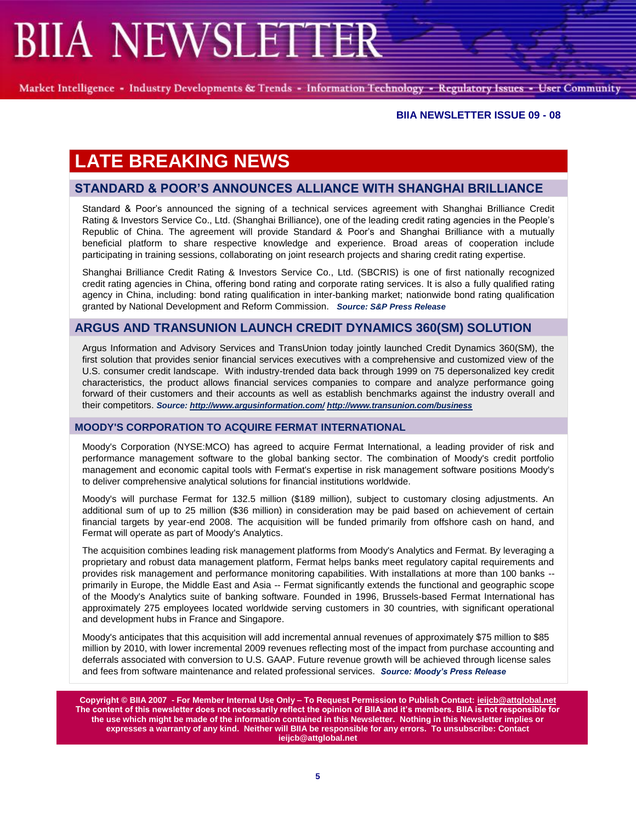Market Intelligence - Industry Developments & Trends - Information Technology - Regulatory Issues - User Community

#### **BIIA NEWSLETTER ISSUE 09 - 08**

# **LATE BREAKING NEWS**

## **STANDARD & POOR"S ANNOUNCES ALLIANCE WITH SHANGHAI BRILLIANCE**

Standard & Poor"s announced the signing of a technical services agreement with Shanghai Brilliance Credit Rating & Investors Service Co., Ltd. (Shanghai Brilliance), one of the leading credit rating agencies in the People"s Republic of China. The agreement will provide Standard & Poor"s and Shanghai Brilliance with a mutually beneficial platform to share respective knowledge and experience. Broad areas of cooperation include participating in training sessions, collaborating on joint research projects and sharing credit rating expertise.

Shanghai Brilliance Credit Rating & Investors Service Co., Ltd. (SBCRIS) is one of first nationally recognized credit rating agencies in China, offering bond rating and corporate rating services. It is also a fully qualified rating agency in China, including: bond rating qualification in inter-banking market; nationwide bond rating qualification granted by National Development and Reform Commission. *Source: S&P Press Release*

## **ARGUS AND TRANSUNION LAUNCH CREDIT DYNAMICS 360(SM) SOLUTION**

Argus Information and Advisory Services and TransUnion today jointly launched Credit Dynamics 360(SM), the first solution that provides senior financial services executives with a comprehensive and customized view of the U.S. consumer credit landscape. With industry-trended data back through 1999 on 75 depersonalized key credit characteristics, the product allows financial services companies to compare and analyze performance going forward of their customers and their accounts as well as establish benchmarks against the industry overall and their competitors. *Source[: http://www.argusinformation.com/](http://www.argusinformation.com/) <http://www.transunion.com/business>*

### **MOODY'S CORPORATION TO ACQUIRE FERMAT INTERNATIONAL**

Moody's Corporation (NYSE:MCO) has agreed to acquire Fermat International, a leading provider of risk and performance management software to the global banking sector. The combination of Moody's credit portfolio management and economic capital tools with Fermat's expertise in risk management software positions Moody's to deliver comprehensive analytical solutions for financial institutions worldwide.

Moody's will purchase Fermat for 132.5 million (\$189 million), subject to customary closing adjustments. An additional sum of up to 25 million (\$36 million) in consideration may be paid based on achievement of certain financial targets by year-end 2008. The acquisition will be funded primarily from offshore cash on hand, and Fermat will operate as part of Moody's Analytics.

The acquisition combines leading risk management platforms from Moody's Analytics and Fermat. By leveraging a proprietary and robust data management platform, Fermat helps banks meet regulatory capital requirements and provides risk management and performance monitoring capabilities. With installations at more than 100 banks - primarily in Europe, the Middle East and Asia -- Fermat significantly extends the functional and geographic scope of the Moody's Analytics suite of banking software. Founded in 1996, Brussels-based Fermat International has approximately 275 employees located worldwide serving customers in 30 countries, with significant operational and development hubs in France and Singapore.

Moody's anticipates that this acquisition will add incremental annual revenues of approximately \$75 million to \$85 million by 2010, with lower incremental 2009 revenues reflecting most of the impact from purchase accounting and deferrals associated with conversion to U.S. GAAP. Future revenue growth will be achieved through license sales and fees from software maintenance and related professional services. *Source: Moody's Press Release*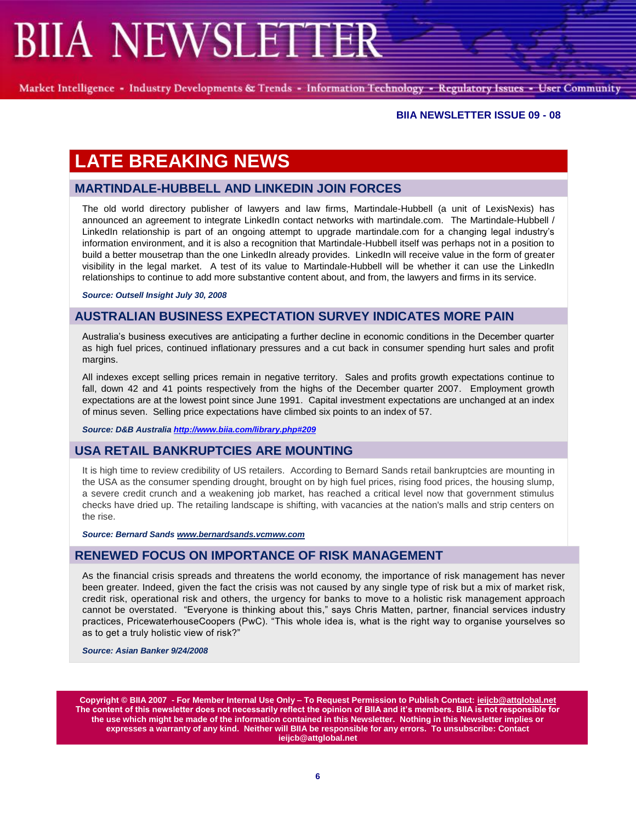Market Intelligence - Industry Developments & Trends - Information Technology - Regulatory Issues - User Community

### **BIIA NEWSLETTER ISSUE 09 - 08**

# **LATE BREAKING NEWS**

## **MARTINDALE-HUBBELL AND LINKEDIN JOIN FORCES**

The old world directory publisher of lawyers and law firms, Martindale-Hubbell (a unit of LexisNexis) has announced an agreement to integrate LinkedIn contact networks with martindale.com. The Martindale-Hubbell / LinkedIn relationship is part of an ongoing attempt to upgrade martindale.com for a changing legal industry's information environment, and it is also a recognition that Martindale-Hubbell itself was perhaps not in a position to build a better mousetrap than the one LinkedIn already provides. LinkedIn will receive value in the form of greater visibility in the legal market. A test of its value to Martindale-Hubbell will be whether it can use the LinkedIn relationships to continue to add more substantive content about, and from, the lawyers and firms in its service.

*Source: Outsell Insight July 30, 2008*

## **AUSTRALIAN BUSINESS EXPECTATION SURVEY INDICATES MORE PAIN**

Australia"s business executives are anticipating a further decline in economic conditions in the December quarter as high fuel prices, continued inflationary pressures and a cut back in consumer spending hurt sales and profit margins.

All indexes except selling prices remain in negative territory. Sales and profits growth expectations continue to fall, down 42 and 41 points respectively from the highs of the December quarter 2007. Employment growth expectations are at the lowest point since June 1991. Capital investment expectations are unchanged at an index of minus seven. Selling price expectations have climbed six points to an index of 57.

*Source: D&B Australi[a http://www.biia.com/library.php#209](http://www.biia.com/library.php#209)*

## **USA RETAIL BANKRUPTCIES ARE MOUNTING**

It is high time to review credibility of US retailers. According to Bernard Sands retail bankruptcies are mounting in the USA as the consumer spending drought, brought on by high fuel prices, rising food prices, the housing slump, a severe credit crunch and a weakening job market, has reached a critical level now that government stimulus checks have dried up. The retailing landscape is shifting, with vacancies at the nation's malls and strip centers on the rise.

*Source: Bernard Sand[s www.bernardsands.vcmww.com](http://www.bernardsands.vcmww.com/)*

### **RENEWED FOCUS ON IMPORTANCE OF RISK MANAGEMENT**

As the financial crisis spreads and threatens the world economy, the importance of risk management has never been greater. Indeed, given the fact the crisis was not caused by any single type of risk but a mix of market risk, credit risk, operational risk and others, the urgency for banks to move to a holistic risk management approach cannot be overstated. "Everyone is thinking about this," says Chris Matten, partner, financial services industry practices, PricewaterhouseCoopers (PwC). "This whole idea is, what is the right way to organise yourselves so as to get a truly holistic view of risk?"

*Source: Asian Banker 9/24/2008*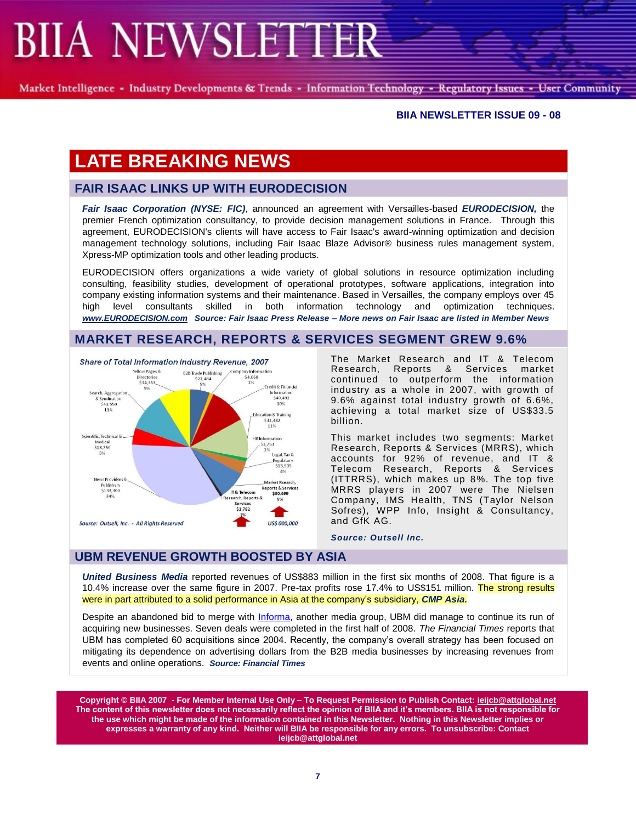Market Intelligence - Industry Developments & Trends - Information Technology - Regulatory Issues - User Community

#### **BIIA NEWSLETTER ISSUE 09 - 08**

# **LATE BREAKING NEWS**

## **FAIR ISAAC LINKS UP WITH EURODECISION**

*Fair Isaac Corporation (NYSE: FIC)*, announced an agreement with Versailles-based *EURODECISION,* the premier French optimization consultancy, to provide decision management solutions in France. Through this agreement, EURODECISION's clients will have access to Fair Isaac's award-winning optimization and decision management technology solutions, including Fair Isaac Blaze Advisor® business rules management system, Xpress-MP optimization tools and other leading products.

EURODECISION offers organizations a wide variety of global solutions in resource optimization including consulting, feasibility studies, development of operational prototypes, software applications, integration into company existing information systems and their maintenance. Based in Versailles, the company employs over 45 high level consultants skilled in both information technology and optimization techniques. *[www.EURODECISION.com](http://www.eurodecision.com/) Source: Fair Isaac Press Release – More news on Fair Isaac are listed in Member News*

## **MARKET RESEARCH, REPORTS & SERVICES SEGMENT GREW 9.6%**



The Market Research and IT & Telecom Research, Reports & Services market continued to outperform the information industry as a whole in 2007, with growth of 9.6% against total industry growth of 6.6%, achieving a total market size of US\$33.5 billion.

This market includes two segments: Market Research, Reports & Services (MRRS), which accounts for 92% of revenue, and IT & Telecom Research, Reports & Services (ITTRRS), which makes up 8%. The top five MRRS players in 2007 were The Nielsen Company, IMS Health, TNS (Taylor Nelson Sofres), WPP Info, Insight & Consultancy, and GfK AG.

*Source: Outsell Inc.*

## **UBM REVENUE GROWTH BOOSTED BY ASIA**

*United Business Media* reported revenues of US\$883 million in the first six months of 2008. That figure is a 10.4% increase over the same figure in 2007. Pre-tax profits rose 17.4% to US\$151 million. The strong results were in part attributed to a solid performance in Asia at the company"s subsidiary, *CMP Asia.*

Despite an abandoned bid to merge with Informa, another media group, UBM did manage to continue its run of acquiring new businesses. Seven deals were completed in the first half of 2008. *The Financial Times* reports that UBM has completed 60 acquisitions since 2004. Recently, the company"s overall strategy has been focused on mitigating its dependence on advertising dollars from the B2B media businesses by increasing revenues from events and online operations. *Source: Financial Times*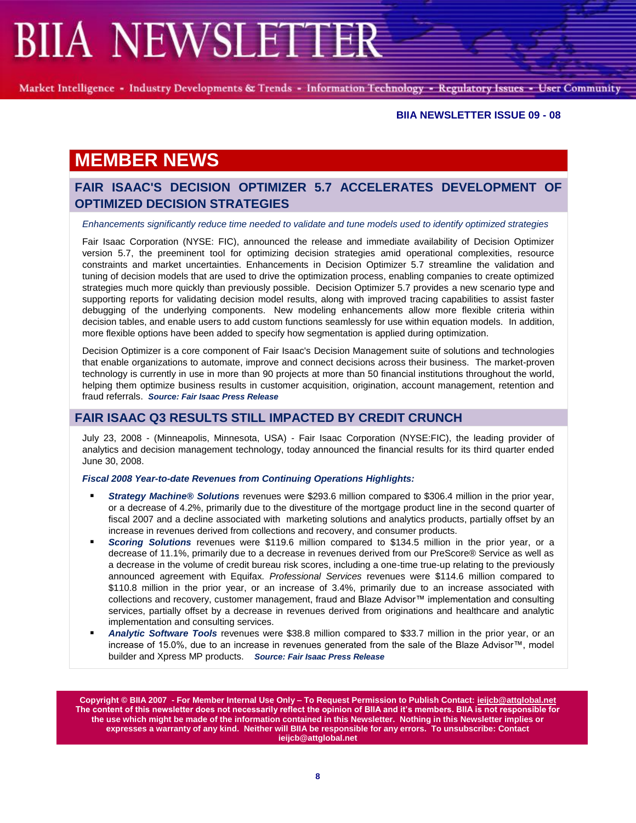Market Intelligence - Industry Developments & Trends - Information Technology - Regulatory Issues - User Community

#### **BIIA NEWSLETTER ISSUE 09 - 08**

# **MEMBER NEWS**

## **FAIR ISAAC'S DECISION OPTIMIZER 5.7 ACCELERATES DEVELOPMENT OF OPTIMIZED DECISION STRATEGIES**

#### *Enhancements significantly reduce time needed to validate and tune models used to identify optimized strategies*

Fair Isaac Corporation (NYSE: FIC), announced the release and immediate availability of Decision Optimizer version 5.7, the preeminent tool for optimizing decision strategies amid operational complexities, resource constraints and market uncertainties. Enhancements in Decision Optimizer 5.7 streamline the validation and tuning of decision models that are used to drive the optimization process, enabling companies to create optimized strategies much more quickly than previously possible. Decision Optimizer 5.7 provides a new scenario type and supporting reports for validating decision model results, along with improved tracing capabilities to assist faster debugging of the underlying components. New modeling enhancements allow more flexible criteria within decision tables, and enable users to add custom functions seamlessly for use within equation models. In addition, more flexible options have been added to specify how segmentation is applied during optimization.

Decision Optimizer is a core component of Fair Isaac's Decision Management suite of solutions and technologies that enable organizations to automate, improve and connect decisions across their business. The market-proven technology is currently in use in more than 90 projects at more than 50 financial institutions throughout the world, helping them optimize business results in customer acquisition, origination, account management, retention and fraud referrals. *Source: Fair Isaac Press Release*

### **FAIR ISAAC Q3 RESULTS STILL IMPACTED BY CREDIT CRUNCH**

July 23, 2008 - (Minneapolis, Minnesota, USA) - Fair Isaac Corporation (NYSE:FIC), the leading provider of analytics and decision management technology, today announced the financial results for its third quarter ended June 30, 2008.

*Fiscal 2008 Year-to-date Revenues from Continuing Operations Highlights:*

- *Strategy Machine® Solutions* revenues were \$293.6 million compared to \$306.4 million in the prior year, or a decrease of 4.2%, primarily due to the divestiture of the mortgage product line in the second quarter of fiscal 2007 and a decline associated with marketing solutions and analytics products, partially offset by an increase in revenues derived from collections and recovery, and consumer products.
- *Scoring Solutions* revenues were \$119.6 million compared to \$134.5 million in the prior year, or a decrease of 11.1%, primarily due to a decrease in revenues derived from our PreScore® Service as well as a decrease in the volume of credit bureau risk scores, including a one-time true-up relating to the previously announced agreement with Equifax. *Professional Services* revenues were \$114.6 million compared to \$110.8 million in the prior year, or an increase of 3.4%, primarily due to an increase associated with collections and recovery, customer management, fraud and Blaze Advisor™ implementation and consulting services, partially offset by a decrease in revenues derived from originations and healthcare and analytic implementation and consulting services.
- *Analytic Software Tools* revenues were \$38.8 million compared to \$33.7 million in the prior year, or an increase of 15.0%, due to an increase in revenues generated from the sale of the Blaze Advisor™, model builder and Xpress MP products. *Source: Fair Isaac Press Release*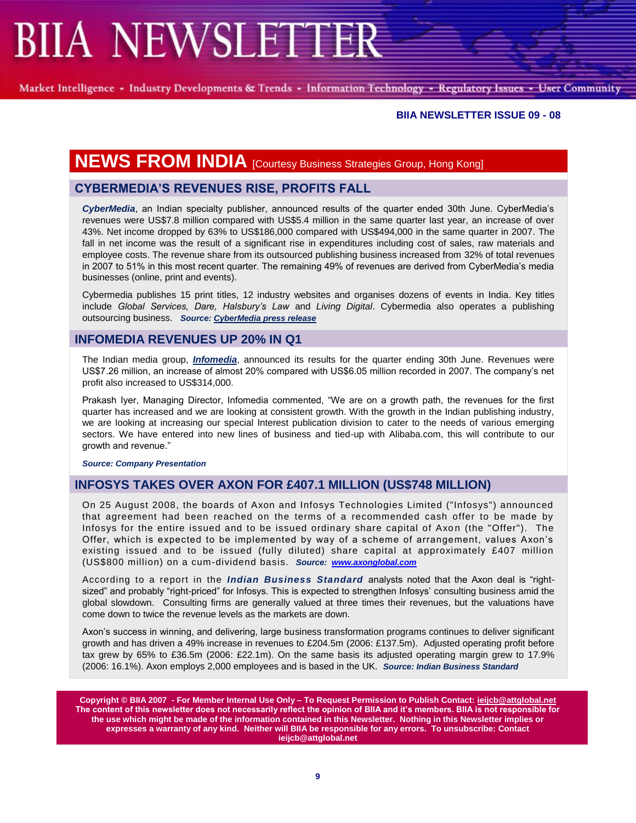Market Intelligence - Industry Developments & Trends - Information Technology - Regulatory Issues - User Community

#### **BIIA NEWSLETTER ISSUE 09 - 08**

# **NEWS FROM INDIA** [Courtesy Business Strategies Group, Hong Kong]

## **CYBERMEDIA"S REVENUES RISE, PROFITS FALL**

*CyberMedia*, an Indian specialty publisher, announced results of the quarter ended 30th June. CyberMedia"s revenues were US\$7.8 million compared with US\$5.4 million in the same quarter last year, an increase of over 43%. Net income dropped by 63% to US\$186,000 compared with US\$494,000 in the same quarter in 2007. The fall in net income was the result of a significant rise in expenditures including cost of sales, raw materials and employee costs. The revenue share from its outsourced publishing business increased from 32% of total revenues in 2007 to 51% in this most recent quarter. The remaining 49% of revenues are derived from CyberMedia"s media businesses (online, print and events).

Cybermedia publishes 15 print titles, 12 industry websites and organises dozens of events in India. Key titles include *Global Services, Dare, Halsbury's Law* and *Living Digital*. Cybermedia also operates a publishing outsourcing business. *Source: CyberMedia press release*

## **INFOMEDIA REVENUES UP 20% IN Q1**

The Indian media group, *Infomedia*, announced its results for the quarter ending 30th June. Revenues were US\$7.26 million, an increase of almost 20% compared with US\$6.05 million recorded in 2007. The company"s net profit also increased to US\$314,000.

Prakash Iyer, Managing Director, Infomedia commented, "We are on a growth path, the revenues for the first quarter has increased and we are looking at consistent growth. With the growth in the Indian publishing industry, we are looking at increasing our special Interest publication division to cater to the needs of various emerging sectors. We have entered into new lines of business and tied-up with Alibaba.com, this will contribute to our growth and revenue."

*Source: Company Presentation*

### **INFOSYS TAKES OVER AXON FOR £407.1 MILLION (US\$748 MILLION)**

On 25 August 2008, the boards of Axon and Infosys Technologies Limited ("Infosys") announced that agreement had been reached on the terms of a recommended cash offer to be made by Infosys for the entire issued and to be issued ordinary share capital of Axon (the "Offer"). The Offer, which is expected to be implemented by way of a scheme of arrangement, values Axon"s existing issued and to be issued (fully diluted) share capital at approximately £407 million (US\$800 million) on a cum-dividend basis. *Source: [www.axonglobal.com](http://www.axonglobal.com/)*

According to a report in the *Indian Business Standard* analysts noted that the Axon deal is "rightsized" and probably "right-priced" for Infosys. This is expected to strengthen Infosys' consulting business amid the global slowdown. Consulting firms are generally valued at three times their revenues, but the valuations have come down to twice the revenue levels as the markets are down.

Axon"s success in winning, and delivering, large business transformation programs continues to deliver significant growth and has driven a 49% increase in revenues to £204.5m (2006: £137.5m). Adjusted operating profit before tax grew by 65% to £36.5m (2006: £22.1m). On the same basis its adjusted operating margin grew to 17.9% (2006: 16.1%). Axon employs 2,000 employees and is based in the UK. *Source: Indian Business Standard*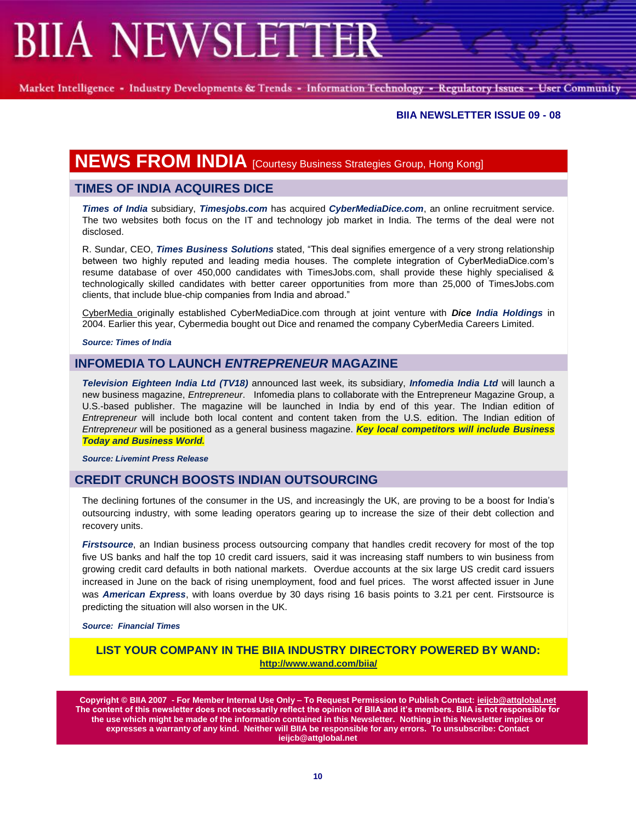Market Intelligence - Industry Developments & Trends - Information Technology - Regulatory Issues - User Community

#### **BIIA NEWSLETTER ISSUE 09 - 08**

# **NEWS FROM INDIA** [Courtesy Business Strategies Group, Hong Kong]

## **TIMES OF INDIA ACQUIRES DICE**

*Times of India* subsidiary, *Timesjobs.com* has acquired *CyberMediaDice.com*, an online recruitment service. The two websites both focus on the IT and technology job market in India. The terms of the deal were not disclosed.

R. Sundar, CEO, *Times Business Solutions* stated, "This deal signifies emergence of a very strong relationship between two highly reputed and leading media houses. The complete integration of CyberMediaDice.com"s resume database of over 450,000 candidates with TimesJobs.com, shall provide these highly specialised & technologically skilled candidates with better career opportunities from more than 25,000 of TimesJobs.com clients, that include blue-chip companies from India and abroad."

CyberMedia originally established CyberMediaDice.com through at joint venture with *Dice India Holdings* in 2004. Earlier this year, Cybermedia bought out Dice and renamed the company CyberMedia Careers Limited.

*Source: Times of India*

### **INFOMEDIA TO LAUNCH** *ENTREPRENEUR* **MAGAZINE**

*Television Eighteen India Ltd (TV18)* announced last week, its subsidiary, *Infomedia India Ltd* will launch a new business magazine, *Entrepreneur*. Infomedia plans to collaborate with the Entrepreneur Magazine Group, a U.S.-based publisher. The magazine will be launched in India by end of this year. The Indian edition of *Entrepreneur* will include both local content and content taken from the U.S. edition. The Indian edition of *Entrepreneur* will be positioned as a general business magazine. *Key local competitors will include Business Today and Business World.* 

*Source: Livemint Press Release*

### **CREDIT CRUNCH BOOSTS INDIAN OUTSOURCING**

The declining fortunes of the consumer in the US, and increasingly the UK, are proving to be a boost for India"s outsourcing industry, with some leading operators gearing up to increase the size of their debt collection and recovery units.

*[Firstsource](http://markets.ft.com/tearsheets/performance.asp?s=in:FSL)*, an Indian business process outsourcing company that handles credit recovery for most of the top five US banks and half the top 10 credit card issuers, said it was increasing staff numbers to win business from growing credit card defaults in both national markets. Overdue accounts at the six large US credit card issuers increased in June on the back of rising unemployment, food and fuel prices. The worst affected issuer in June was *[American Express](http://markets.ft.com/tearsheets/performance.asp?s=us:AXP)*, with loans overdue by 30 days rising 16 basis points to 3.21 per cent. Firstsource is predicting the situation will also worsen in the UK.

*Source: Financial Times*

**LIST YOUR COMPANY IN THE BIIA INDUSTRY DIRECTORY POWERED BY WAND: <http://www.wand.com/biia/>**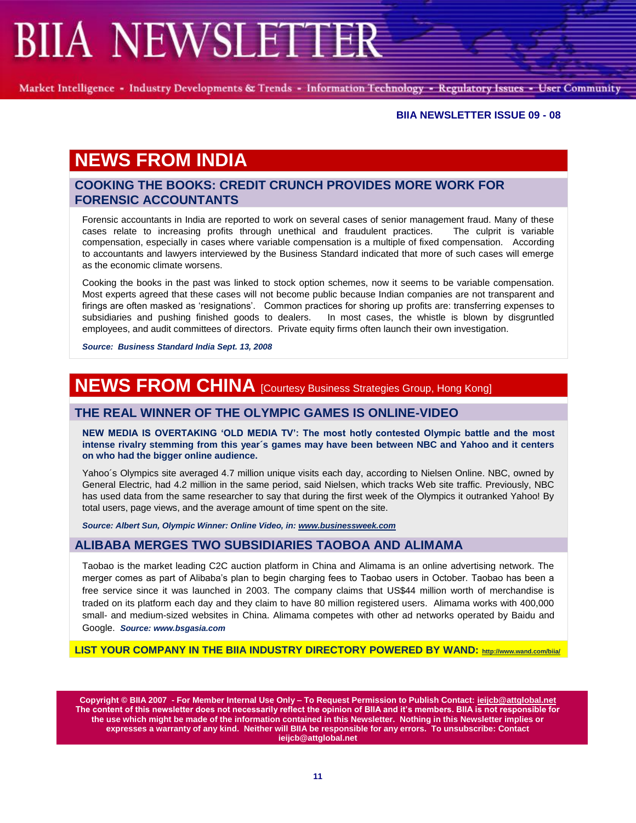Market Intelligence - Industry Developments & Trends - Information Technology - Regulatory Issues - User Community

#### **BIIA NEWSLETTER ISSUE 09 - 08**

# **NEWS FROM INDIA**

## **COOKING THE BOOKS: CREDIT CRUNCH PROVIDES MORE WORK FOR FORENSIC ACCOUNTANTS**

Forensic accountants in India are reported to work on several cases of senior management fraud. Many of these cases relate to increasing profits through unethical and fraudulent practices. The culprit is variable compensation, especially in cases where variable compensation is a multiple of fixed compensation. According to accountants and lawyers interviewed by the Business Standard indicated that more of such cases will emerge as the economic climate worsens.

Cooking the books in the past was linked to stock option schemes, now it seems to be variable compensation. Most experts agreed that these cases will not become public because Indian companies are not transparent and firings are often masked as "resignations". Common practices for shoring up profits are: transferring expenses to subsidiaries and pushing finished goods to dealers. In most cases, the whistle is blown by disgruntled employees, and audit committees of directors. Private equity firms often launch their own investigation.

*Source: Business Standard India Sept. 13, 2008*

# **NEWS FROM CHINA** [Courtesy Business Strategies Group, Hong Kong]

## **THE REAL WINNER OF THE OLYMPIC GAMES IS ONLINE-VIDEO**

**NEW MEDIA IS OVERTAKING "OLD MEDIA TV": The most hotly contested Olympic battle and the most intense rivalry stemming from this year´s games may have been between NBC and Yahoo and it centers on who had the bigger online audience.**

Yahoo´s Olympics site averaged 4.7 million unique visits each day, according to Nielsen Online. NBC, owned by General Electric, had 4.2 million in the same period, said Nielsen, which tracks Web site traffic. Previously, NBC has used data from the same researcher to say that during the first week of the Olympics it outranked Yahoo! By total users, page views, and the average amount of time spent on the site.

*Source: Albert Sun, Olympic Winner: Online Video, in[: www.businessweek.com](http://www.businessweek.com/)*

### **ALIBABA MERGES TWO SUBSIDIARIES TAOBOA AND ALIMAMA**

Taobao is the market leading C2C auction platform in China and Alimama is an online advertising network. The merger comes as part of Alibaba"s plan to begin charging fees to Taobao users in October. Taobao has been a free service since it was launched in 2003. The company claims that US\$44 million worth of merchandise is traded on its platform each day and they claim to have 80 million registered users. Alimama works with 400,000 small- and medium-sized websites in China. Alimama competes with other ad networks operated by Baidu and Google. *Source: www.bsgasia.com*

**LIST YOUR COMPANY IN THE BIIA INDUSTRY DIRECTORY POWERED BY WAND: <http://www.wand.com/biia/>**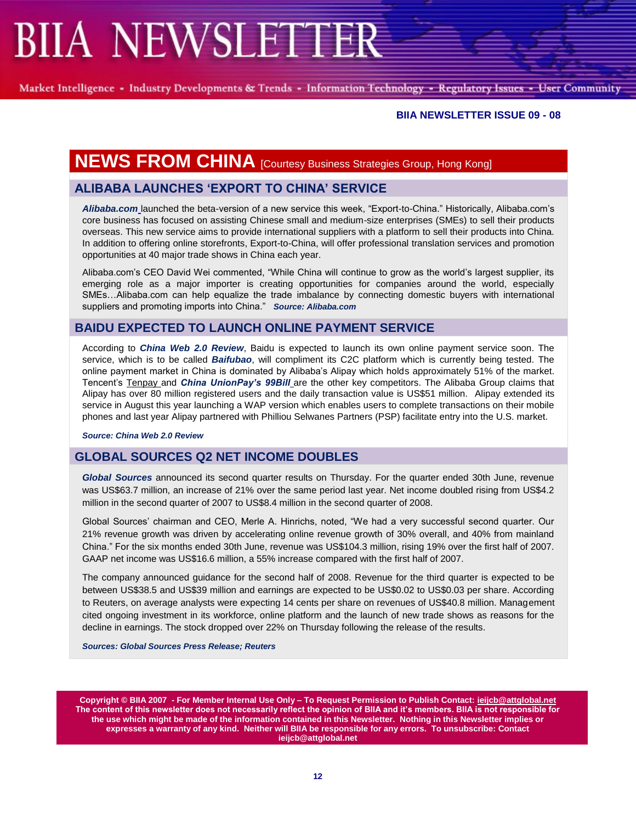Market Intelligence - Industry Developments & Trends - Information Technology - Regulatory Issues - User Community

### **BIIA NEWSLETTER ISSUE 09 - 08**

# **NEWS FROM CHINA** [Courtesy Business Strategies Group, Hong Kong]

## **ALIBABA LAUNCHES "EXPORT TO CHINA" SERVICE**

*Alibaba.com* launched the beta-version of a new service this week, "Export-to-China." Historically, Alibaba.com"s core business has focused on assisting Chinese small and medium-size enterprises (SMEs) to sell their products overseas. This new service aims to provide international suppliers with a platform to sell their products into China. In addition to offering online storefronts, Export-to-China, will offer professional translation services and promotion opportunities at 40 major trade shows in China each year.

Alibaba.com"s CEO David Wei commented, "While China will continue to grow as the world"s largest supplier, its emerging role as a major importer is creating opportunities for companies around the world, especially SMEs…Alibaba.com can help equalize the trade imbalance by connecting domestic buyers with international suppliers and promoting imports into China." *Source: Alibaba.com*

## **BAIDU EXPECTED TO LAUNCH ONLINE PAYMENT SERVICE**

According to *China Web 2.0 Review*, Baidu is expected to launch its own online payment service soon. The service, which is to be called *Baifubao*, will compliment its C2C platform which is currently being tested. The online payment market in China is dominated by Alibaba"s Alipay which holds approximately 51% of the market. Tencent"s Tenpay and *China UnionPay's 99Bill* are the other key competitors. The Alibaba Group claims that Alipay has over 80 million registered users and the daily transaction value is US\$51 million. Alipay extended its service in August this year launching a WAP version which enables users to complete transactions on their mobile phones and last year Alipay partnered with Philliou Selwanes Partners (PSP) facilitate entry into the U.S. market.

*Source: China Web 2.0 Review*

## **GLOBAL SOURCES Q2 NET INCOME DOUBLES**

*Global Sources* announced its second quarter results on Thursday. For the quarter ended 30th June, revenue was US\$63.7 million, an increase of 21% over the same period last year. Net income doubled rising from US\$4.2 million in the second quarter of 2007 to US\$8.4 million in the second quarter of 2008.

Global Sources" chairman and CEO, Merle A. Hinrichs, noted, "We had a very successful second quarter. Our 21% revenue growth was driven by accelerating online revenue growth of 30% overall, and 40% from mainland China." For the six months ended 30th June, revenue was US\$104.3 million, rising 19% over the first half of 2007. GAAP net income was US\$16.6 million, a 55% increase compared with the first half of 2007.

The company announced guidance for the second half of 2008. Revenue for the third quarter is expected to be between US\$38.5 and US\$39 million and earnings are expected to be US\$0.02 to US\$0.03 per share. According to Reuters, on average analysts were expecting 14 cents per share on revenues of US\$40.8 million. Management cited ongoing investment in its workforce, online platform and the launch of new trade shows as reasons for the decline in earnings. The stock dropped over 22% on Thursday following the release of the results.

*Sources: Global Sources Press Release; Reuters*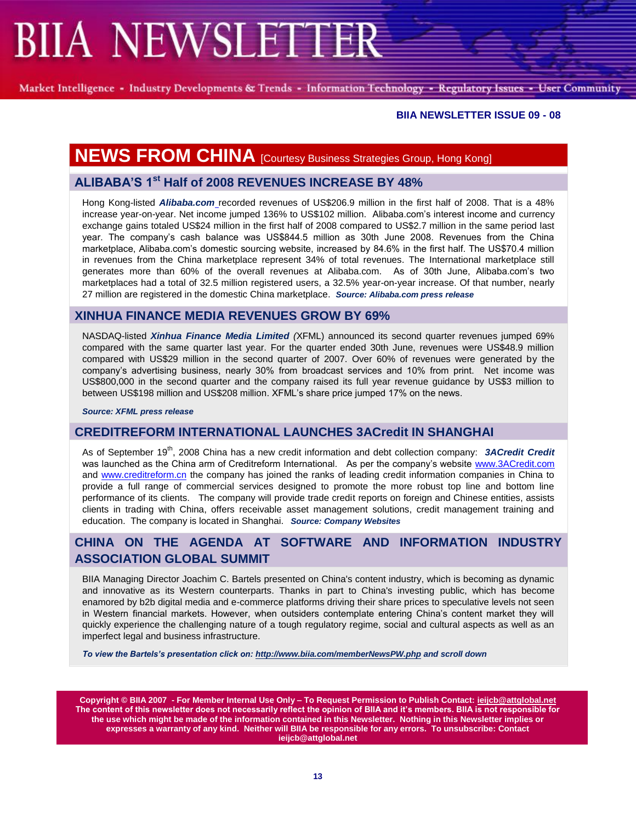Market Intelligence - Industry Developments & Trends - Information Technology - Regulatory Issues - User Community

### **BIIA NEWSLETTER ISSUE 09 - 08**

# **NEWS FROM CHINA** [Courtesy Business Strategies Group, Hong Kong]

## **ALIBABA"S 1st Half of 2008 REVENUES INCREASE BY 48%**

Hong Kong-listed *Alibaba.com* recorded revenues of US\$206.9 million in the first half of 2008. That is a 48% increase year-on-year. Net income jumped 136% to US\$102 million. Alibaba.com"s interest income and currency exchange gains totaled US\$24 million in the first half of 2008 compared to US\$2.7 million in the same period last year. The company"s cash balance was US\$844.5 million as 30th June 2008. Revenues from the China marketplace, Alibaba.com"s domestic sourcing website, increased by 84.6% in the first half. The US\$70.4 million in revenues from the China marketplace represent 34% of total revenues. The International marketplace still generates more than 60% of the overall revenues at Alibaba.com. As of 30th June, Alibaba.com"s two marketplaces had a total of 32.5 million registered users, a 32.5% year-on-year increase. Of that number, nearly 27 million are registered in the domestic China marketplace. *Source: Alibaba.com press release*

## **XINHUA FINANCE MEDIA REVENUES GROW BY 69%**

NASDAQ-listed *Xinhua Finance Media Limited (*XFML) announced its second quarter revenues jumped 69% compared with the same quarter last year. For the quarter ended 30th June, revenues were US\$48.9 million compared with US\$29 million in the second quarter of 2007. Over 60% of revenues were generated by the company"s advertising business, nearly 30% from broadcast services and 10% from print. Net income was US\$800,000 in the second quarter and the company raised its full year revenue guidance by US\$3 million to between US\$198 million and US\$208 million. XFML"s share price jumped 17% on the news.

*Source: XFML press release*

### **CREDITREFORM INTERNATIONAL LAUNCHES 3ACredit IN SHANGHAI**

As of September 19<sup>th</sup>, 2008 China has a new credit information and debt collection company: **3ACredit Credit** was launched as the China arm of Creditreform International. As per the company's website [www.3ACredit.com](http://www.3acredit.com/) and [www.creditreform.cn](http://www.creditreform.cn/) the company has joined the ranks of leading credit information companies in China to provide a full range of commercial services designed to promote the more robust top line and bottom line performance of its clients. The company will provide trade credit reports on foreign and Chinese entities, assists clients in trading with China, offers receivable asset management solutions, credit management training and education. The company is located in Shanghai. *Source: Company Websites*

## **CHINA ON THE AGENDA AT SOFTWARE AND INFORMATION INDUSTRY ASSOCIATION GLOBAL SUMMIT**

BIIA Managing Director Joachim C. Bartels presented on China's content industry, which is becoming as dynamic and innovative as its Western counterparts. Thanks in part to China's investing public, which has become enamored by b2b digital media and e-commerce platforms driving their share prices to speculative levels not seen in Western financial markets. However, when outsiders contemplate entering China's content market they will quickly experience the challenging nature of a tough regulatory regime, social and cultural aspects as well as an imperfect legal and business infrastructure.

*To view the Bartels's presentation click on: <http://www.biia.com/memberNewsPW.php> and scroll down*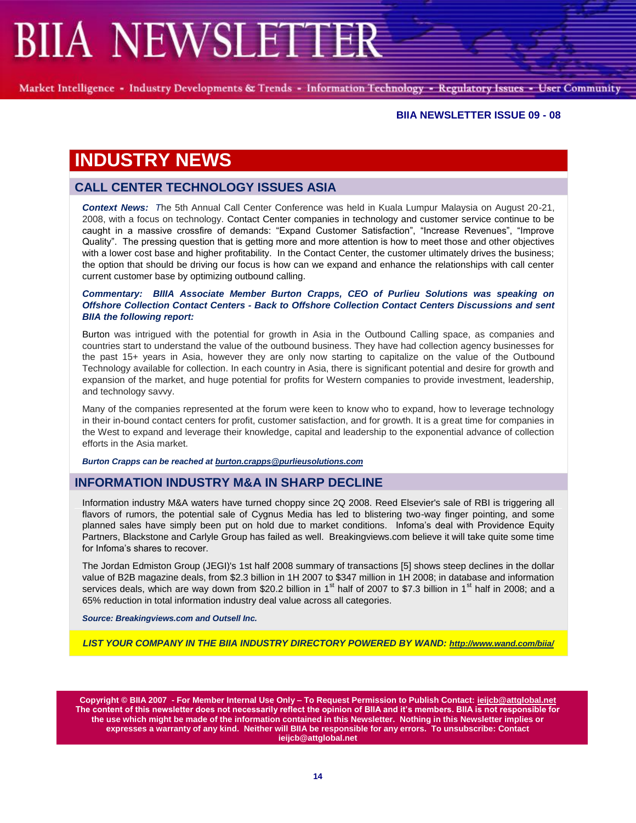Market Intelligence - Industry Developments & Trends - Information Technology - Regulatory Issues - User Community

#### **BIIA NEWSLETTER ISSUE 09 - 08**

# **INDUSTRY NEWS**

## **CALL CENTER TECHNOLOGY ISSUES ASIA**

*Context News: T*he 5th Annual Call Center Conference was held in Kuala Lumpur Malaysia on August 20-21, 2008, with a focus on technology. Contact Center companies in technology and customer service continue to be caught in a massive crossfire of demands: "Expand Customer Satisfaction", "Increase Revenues", "Improve Quality". The pressing question that is getting more and more attention is how to meet those and other objectives with a lower cost base and higher profitability. In the Contact Center, the customer ultimately drives the business; the option that should be driving our focus is how can we expand and enhance the relationships with call center current customer base by optimizing outbound calling.

#### *Commentary: BIIIA Associate Member Burton Crapps, CEO of Purlieu Solutions was speaking on [Offshore Collection Contact Centers](http://collectiontechnology.net/group/offshorecollectioncontactcenters) - [Back to Offshore Collection Contact Centers Discussions](http://collectiontechnology.net/group/offshorecollectioncontactcenters/forum) and sent BIIA the following report:*

Burton was intrigued with the potential for growth in Asia in the Outbound Calling space, as companies and countries start to understand the value of the outbound business. They have had collection agency businesses for the past 15+ years in Asia, however they are only now starting to capitalize on the value of the Outbound Technology available for collection. In each country in Asia, there is significant potential and desire for growth and expansion of the market, and huge potential for profits for Western companies to provide investment, leadership, and technology savvy.

Many of the companies represented at the forum were keen to know who to expand, how to leverage technology in their in-bound contact centers for profit, customer satisfaction, and for growth. It is a great time for companies in the West to expand and leverage their knowledge, capital and leadership to the exponential advance of collection efforts in the Asia market.

*Burton Crapps can be reached at [burton.crapps@purlieusolutions.com](mailto:burton.crapps@purlieusolutions.com)*

## **INFORMATION INDUSTRY M&A IN SHARP DECLINE**

Information industry M&A waters have turned choppy since 2Q 2008. Reed Elsevier's sale of RBI is triggering all flavors of rumors, the potential sale of Cygnus Media has led to blistering two-way finger pointing, and some planned sales have simply been put on hold due to market conditions. Infoma's deal with Providence Equity Partners, Blackstone and Carlyle Group has failed as well. Breakingviews.com believe it will take quite some time for Infoma's shares to recover.

The Jordan Edmiston Group (JEGI)'s 1st half 2008 summary of transactions [5] shows steep declines in the dollar value of B2B magazine deals, from \$2.3 billion in 1H 2007 to \$347 million in 1H 2008; in database and information services deals, which are way down from \$20.2 billion in 1<sup>st</sup> half of 2007 to \$7.3 billion in 1<sup>st</sup> half in 2008; and a 65% reduction in total information industry deal value across all categories.

*Source: Breakingviews.com and Outsell Inc.*

*LIST YOUR COMPANY IN THE BIIA INDUSTRY DIRECTORY POWERED BY WAND: <http://www.wand.com/biia/>*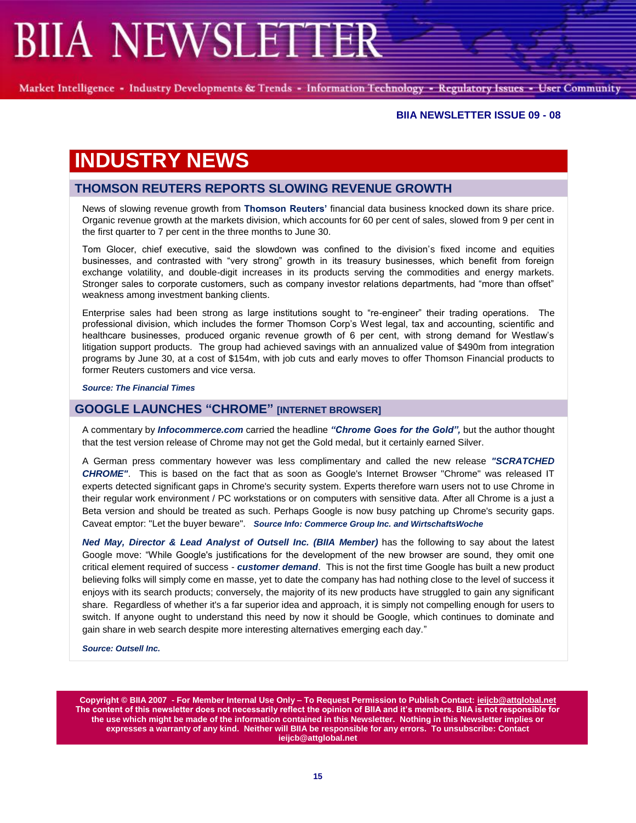Market Intelligence - Industry Developments & Trends - Information Technology - Regulatory Issues - User Community

#### **BIIA NEWSLETTER ISSUE 09 - 08**

# **INDUSTRY NEWS**

## **THOMSON REUTERS REPORTS SLOWING REVENUE GROWTH**

News of slowing revenue growth from **[Thomson Reuters"](http://markets.ft.com/tearsheets/performance.asp?s=uk:TRIL)** financial data business knocked down its share price. Organic revenue growth at the markets division, which accounts for 60 per cent of sales, slowed from 9 per cent in the first quarter to 7 per cent in the three months to June 30.

Tom Glocer, chief executive, said the slowdown was confined to the division"s fixed income and equities businesses, and contrasted with "very strong" growth in its treasury businesses, which benefit from foreign exchange volatility, and double-digit increases in its products serving the commodities and energy markets. Stronger sales to corporate customers, such as company investor relations departments, had "more than offset" weakness among investment banking clients.

Enterprise sales had been strong as large institutions sought to "re-engineer" their trading operations. The professional division, which includes the former Thomson Corp"s West legal, tax and accounting, scientific and healthcare businesses, produced organic revenue growth of 6 per cent, with strong demand for Westlaw's litigation support products. The group had achieved savings with an annualized value of \$490m from integration programs by June 30, at a cost of \$154m, with job cuts and early moves to offer Thomson Financial products to former Reuters customers and vice versa.

*Source: The Financial Times* 

### **GOOGLE LAUNCHES "CHROME" [INTERNET BROWSER]**

A commentary by *Infocommerce.com* carried the headline *"Chrome Goes for the Gold",* but the author thought that the test version release of Chrome may not get the Gold medal, but it certainly earned Silver.

A German press commentary however was less complimentary and called the new release *"SCRATCHED CHROME"*. This is based on the fact that as soon as Google's Internet Browser "Chrome" was released IT experts detected significant gaps in Chrome's security system. Experts therefore warn users not to use Chrome in their regular work environment / PC workstations or on computers with sensitive data. After all Chrome is a just a Beta version and should be treated as such. Perhaps Google is now busy patching up Chrome's security gaps. Caveat emptor: "Let the buyer beware". *Source Info: Commerce Group Inc. and WirtschaftsWoche*

*Ned May, Director & Lead Analyst of Outsell Inc. (BIIA Member)* has the following to say about the latest Google move: "While Google's justifications for the development of the new browser are sound, they omit one critical element required of success - *customer demand*. This is not the first time Google has built a new product believing folks will simply come en masse, yet to date the company has had nothing close to the level of success it enjoys with its search products; conversely, the majority of its new products have struggled to gain any significant share. Regardless of whether it's a far superior idea and approach, it is simply not compelling enough for users to switch. If anyone ought to understand this need by now it should be Google, which continues to dominate and gain share in web search despite more interesting alternatives emerging each day."

*Source: Outsell Inc.*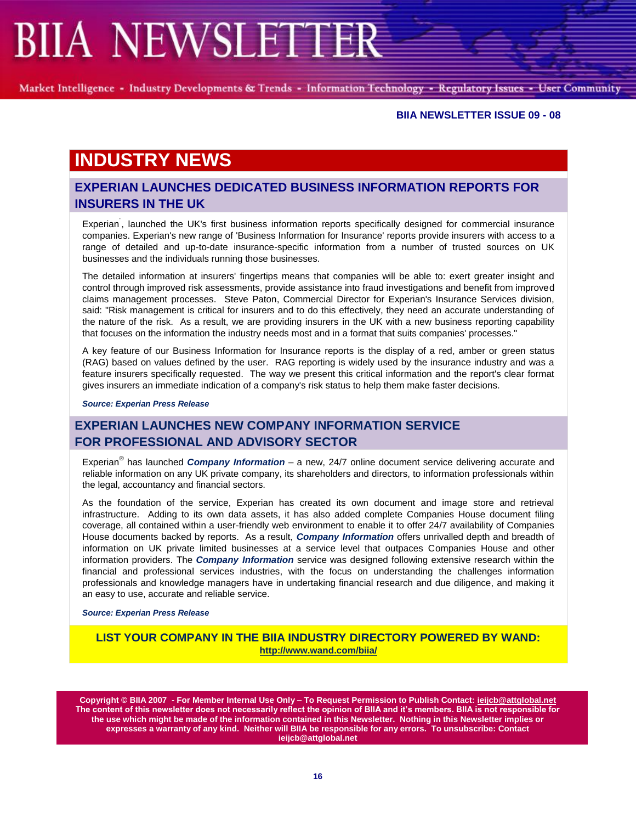Market Intelligence - Industry Developments & Trends - Information Technology - Regulatory Issues - User Community

#### **BIIA NEWSLETTER ISSUE 09 - 08**

# **INDUSTRY NEWS**

## **EXPERIAN LAUNCHES DEDICATED BUSINESS INFORMATION REPORTS FOR INSURERS IN THE UK**

Experian<sup>"</sup>, launched the UK's first business information reports specifically designed for commercial insurance companies. Experian's new range of 'Business Information for Insurance' reports provide insurers with access to a range of detailed and up-to-date insurance-specific information from a number of trusted sources on UK businesses and the individuals running those businesses.

The detailed information at insurers' fingertips means that companies will be able to: exert greater insight and control through improved risk assessments, provide assistance into fraud investigations and benefit from improved claims management processes. Steve Paton, Commercial Director for Experian's Insurance Services division, said: "Risk management is critical for insurers and to do this effectively, they need an accurate understanding of the nature of the risk. As a result, we are providing insurers in the UK with a new business reporting capability that focuses on the information the industry needs most and in a format that suits companies' processes."

A key feature of our Business Information for Insurance reports is the display of a red, amber or green status (RAG) based on values defined by the user. RAG reporting is widely used by the insurance industry and was a feature insurers specifically requested. The way we present this critical information and the report's clear format gives insurers an immediate indication of a company's risk status to help them make faster decisions.

*Source: Experian Press Release*

# **EXPERIAN LAUNCHES NEW COMPANY INFORMATION SERVICE FOR PROFESSIONAL AND ADVISORY SECTOR**

Experian® has launched *Company Information* – a new, 24/7 online document service delivering accurate and reliable information on any UK private company, its shareholders and directors, to information professionals within the legal, accountancy and financial sectors.

As the foundation of the service, Experian has created its own document and image store and retrieval infrastructure. Adding to its own data assets, it has also added complete Companies House document filing coverage, all contained within a user-friendly web environment to enable it to offer 24/7 availability of Companies House documents backed by reports. As a result, *Company Information* offers unrivalled depth and breadth of information on UK private limited businesses at a service level that outpaces Companies House and other information providers. The *Company Information* service was designed following extensive research within the financial and professional services industries, with the focus on understanding the challenges information professionals and knowledge managers have in undertaking financial research and due diligence, and making it an easy to use, accurate and reliable service.

#### *Source: Experian Press Release*

### **LIST YOUR COMPANY IN THE BIIA INDUSTRY DIRECTORY POWERED BY WAND: <http://www.wand.com/biia/>**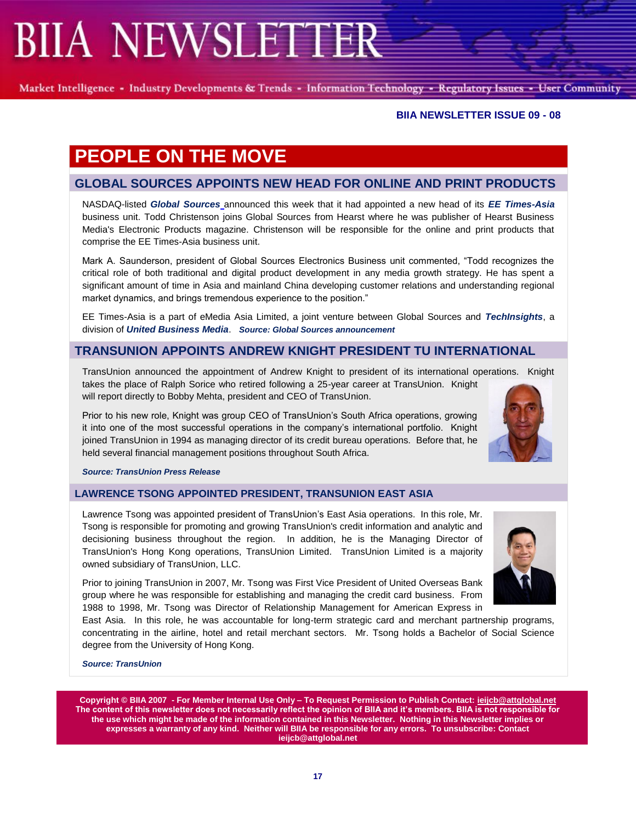Market Intelligence - Industry Developments & Trends - Information Technology - Regulatory Issues - User Community

## **BIIA NEWSLETTER ISSUE 09 - 08**

# **PEOPLE ON THE MOVE**

# **GLOBAL SOURCES APPOINTS NEW HEAD FOR ONLINE AND PRINT PRODUCTS**

NASDAQ-listed *Global Sources* announced this week that it had appointed a new head of its *EE Times-Asia* business unit. Todd Christenson joins Global Sources from Hearst where he was publisher of Hearst Business Media's Electronic Products magazine. Christenson will be responsible for the online and print products that comprise the EE Times-Asia business unit.

Mark A. Saunderson, president of Global Sources Electronics Business unit commented, "Todd recognizes the critical role of both traditional and digital product development in any media growth strategy. He has spent a significant amount of time in Asia and mainland China developing customer relations and understanding regional market dynamics, and brings tremendous experience to the position."

EE Times-Asia is a part of eMedia Asia Limited, a joint venture between Global Sources and *TechInsights*, a division of *United Business Media*. *Source: Global Sources announcement*

# **TRANSUNION APPOINTS ANDREW KNIGHT PRESIDENT TU INTERNATIONAL**

TransUnion announced the appointment of Andrew Knight to president of its international operations. Knight takes the place of Ralph Sorice who retired following a 25-year career at TransUnion. Knight will report directly to Bobby Mehta, president and CEO of TransUnion.

Prior to his new role, Knight was group CEO of TransUnion"s South Africa operations, growing it into one of the most successful operations in the company"s international portfolio. Knight joined TransUnion in 1994 as managing director of its credit bureau operations. Before that, he held several financial management positions throughout South Africa.



## **LAWRENCE TSONG APPOINTED PRESIDENT, TRANSUNION EAST ASIA**

Lawrence Tsong was appointed president of TransUnion"s East Asia operations. In this role, Mr. Tsong is responsible for promoting and growing TransUnion's credit information and analytic and decisioning business throughout the region. In addition, he is the Managing Director of TransUnion's Hong Kong operations, TransUnion Limited. TransUnion Limited is a majority owned subsidiary of TransUnion, LLC.

Prior to joining TransUnion in 2007, Mr. Tsong was First Vice President of United Overseas Bank group where he was responsible for establishing and managing the credit card business. From 1988 to 1998, Mr. Tsong was Director of Relationship Management for American Express in

East Asia. In this role, he was accountable for long-term strategic card and merchant partnership programs, concentrating in the airline, hotel and retail merchant sectors. Mr. Tsong holds a Bachelor of Social Science degree from the University of Hong Kong.

*Source: TransUnion* 

**Copyright © BIIA 2007 - For Member Internal Use Only – To Request Permission to Publish Contact: ieijcb@attglobal.net The content of this newsletter does not necessarily reflect the opinion of BIIA and it"s members. BIIA is not responsible for the use which might be made of the information contained in this Newsletter. Nothing in this Newsletter implies or expresses a warranty of any kind. Neither will BIIA be responsible for any errors. To unsubscribe: Contact ieijcb@attglobal.net** 

**17**



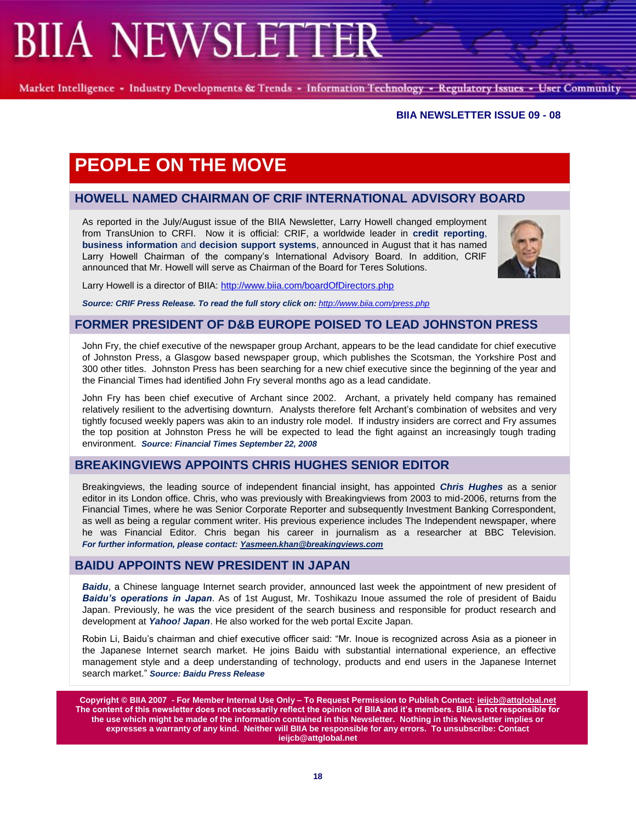Market Intelligence - Industry Developments & Trends - Information Technology - Regulatory Issues - User Community

#### **BIIA NEWSLETTER ISSUE 09 - 08**

# **PEOPLE ON THE MOVE**

## **HOWELL NAMED CHAIRMAN OF CRIF INTERNATIONAL ADVISORY BOARD**

As reported in the July/August issue of the BIIA Newsletter, Larry Howell changed employment from TransUnion to CRFI. Now it is official: CRIF, a worldwide leader in **credit reporting**, **business information** and **decision support systems**, announced in August that it has named Larry Howell Chairman of the company's International Advisory Board. In addition, CRIF announced that Mr. Howell will serve as Chairman of the Board for Teres Solutions.



Larry Howell is a director of BIIA[: http://www.biia.com/boardOfDirectors.php](http://www.biia.com/boardOfDirectors.php)

Source: CRIF Press Release. To read the full story click on: <http://www.biia.com/press.php>

### **FORMER PRESIDENT OF D&B EUROPE POISED TO LEAD JOHNSTON PRESS**

John Fry, the chief executive of the newspaper group Archant, appears to be the lead candidate for chief executive of Johnston Press, a Glasgow based newspaper group, which publishes the Scotsman, the Yorkshire Post and 300 other titles. Johnston Press has been searching for a new chief executive since the beginning of the year and the Financial Times had identified John Fry several months ago as a lead candidate.

John Fry has been chief executive of Archant since 2002. Archant, a privately held company has remained relatively resilient to the advertising downturn. Analysts therefore felt Archant"s combination of websites and very tightly focused weekly papers was akin to an industry role model. If industry insiders are correct and Fry assumes the top position at Johnston Press he will be expected to lead the fight against an increasingly tough trading environment. *Source: Financial Times September 22, 2008*

## **BREAKINGVIEWS APPOINTS CHRIS HUGHES SENIOR EDITOR**

Breakingviews, the leading source of independent financial insight, has appointed *Chris Hughes* as a senior editor in its London office. Chris, who was previously with Breakingviews from 2003 to mid-2006, returns from the Financial Times, where he was Senior Corporate Reporter and subsequently Investment Banking Correspondent, as well as being a regular comment writer. His previous experience includes The Independent newspaper, where he was Financial Editor. Chris began his career in journalism as a researcher at BBC Television. *For further information, please contact: [Yasmeen.khan@breakingviews.com](mailto:Yasmeen.khan@breakingviews.com?subject=Breakingviews.com%20appoints%20a%20new%20senior%20editor)*

## **BAIDU APPOINTS NEW PRESIDENT IN JAPAN**

*Baidu*, a Chinese language Internet search provider, announced last week the appointment of new president of *Baidu's operations in Japan*. As of 1st August, Mr. Toshikazu Inoue assumed the role of president of Baidu Japan. Previously, he was the vice president of the search business and responsible for product research and development at *Yahoo! Japan*. He also worked for the web portal Excite Japan.

Robin Li, Baidu"s chairman and chief executive officer said: "Mr. Inoue is recognized across Asia as a pioneer in the Japanese Internet search market. He joins Baidu with substantial international experience, an effective management style and a deep understanding of technology, products and end users in the Japanese Internet search market." *Source: Baidu Press Release*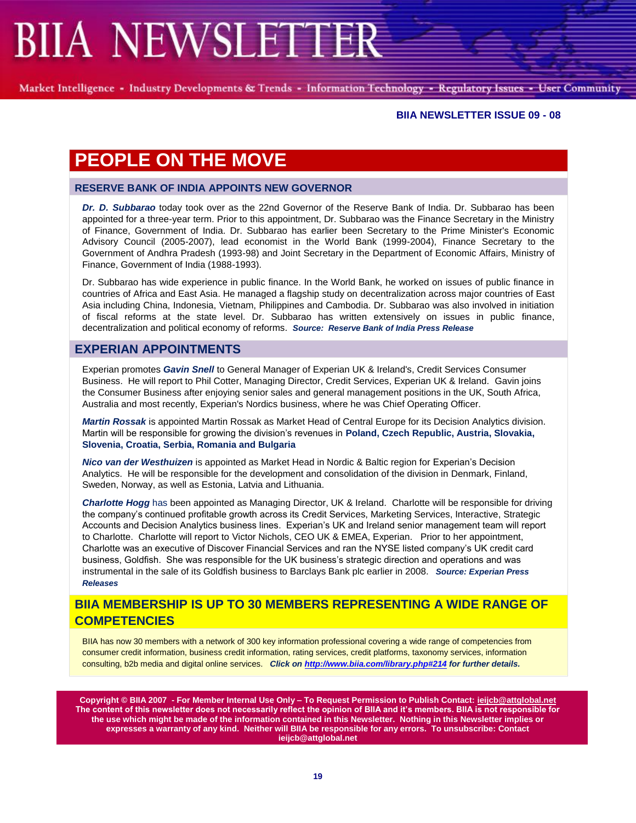Market Intelligence - Industry Developments & Trends - Information Technology - Regulatory Issues - User Community

#### **BIIA NEWSLETTER ISSUE 09 - 08**

# **PEOPLE ON THE MOVE**

### **RESERVE BANK OF INDIA APPOINTS NEW GOVERNOR**

*Dr. D. Subbarao* today took over as the 22nd Governor of the Reserve Bank of India. Dr. Subbarao has been appointed for a three-year term. Prior to this appointment, Dr. Subbarao was the Finance Secretary in the Ministry of Finance, Government of India. Dr. Subbarao has earlier been Secretary to the Prime Minister's Economic Advisory Council (2005-2007), lead economist in the World Bank (1999-2004), Finance Secretary to the Government of Andhra Pradesh (1993-98) and Joint Secretary in the Department of Economic Affairs, Ministry of Finance, Government of India (1988-1993).

Dr. Subbarao has wide experience in public finance. In the World Bank, he worked on issues of public finance in countries of Africa and East Asia. He managed a flagship study on decentralization across major countries of East Asia including China, Indonesia, Vietnam, Philippines and Cambodia. Dr. Subbarao was also involved in initiation of fiscal reforms at the state level. Dr. Subbarao has written extensively on issues in public finance, decentralization and political economy of reforms. *Source: Reserve Bank of India Press Release*

## **EXPERIAN APPOINTMENTS**

Experian promotes *Gavin Snell* to General Manager of Experian UK & Ireland's, Credit Services Consumer Business. He will report to Phil Cotter, Managing Director, Credit Services, Experian UK & Ireland. Gavin joins the Consumer Business after enjoying senior sales and general management positions in the UK, South Africa, Australia and most recently, Experian's Nordics business, where he was Chief Operating Officer.

*Martin Rossak* is appointed Martin Rossak as Market Head of Central Europe for its Decision Analytics division. Martin will be responsible for growing the division"s revenues in **Poland, Czech Republic, Austria, Slovakia, Slovenia, Croatia, Serbia, Romania and Bulgaria**

*Nico van der Westhuizen* is appointed as Market Head in Nordic & Baltic region for Experian"s Decision Analytics. He will be responsible for the development and consolidation of the division in Denmark, Finland, Sweden, Norway, as well as Estonia, Latvia and Lithuania.

*Charlotte Hogg* has been appointed as Managing Director, UK & Ireland. Charlotte will be responsible for driving the company"s continued profitable growth across its Credit Services, Marketing Services, Interactive, Strategic Accounts and Decision Analytics business lines. Experian"s UK and Ireland senior management team will report to Charlotte. Charlotte will report to Victor Nichols, CEO UK & EMEA, Experian. Prior to her appointment, Charlotte was an executive of Discover Financial Services and ran the NYSE listed company"s UK credit card business, Goldfish. She was responsible for the UK business"s strategic direction and operations and was instrumental in the sale of its Goldfish business to Barclays Bank plc earlier in 2008. *Source: Experian Press Releases*

## **BIIA MEMBERSHIP IS UP TO 30 MEMBERS REPRESENTING A WIDE RANGE OF COMPETENCIES**

BIIA has now 30 members with a network of 300 key information professional covering a wide range of competencies from consumer credit information, business credit information, rating services, credit platforms, taxonomy services, information consulting, b2b media and digital online services. *Click on <http://www.biia.com/library.php#214> for further details.*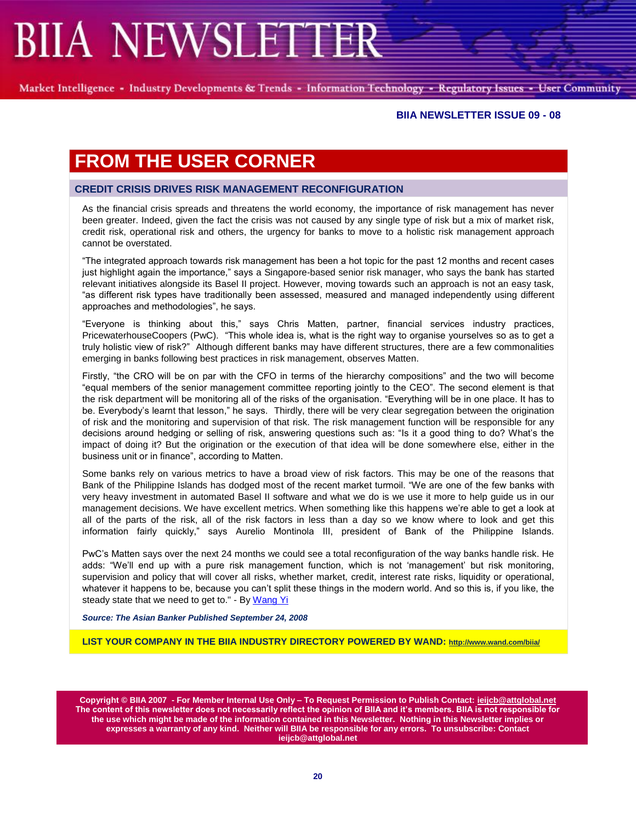Market Intelligence - Industry Developments & Trends - Information Technology - Regulatory Issues - User Community

#### **BIIA NEWSLETTER ISSUE 09 - 08**

# **FROM THE USER CORNER**

#### **CREDIT CRISIS DRIVES RISK MANAGEMENT RECONFIGURATION**

As the financial crisis spreads and threatens the world economy, the importance of risk management has never been greater. Indeed, given the fact the crisis was not caused by any single type of risk but a mix of market risk, credit risk, operational risk and others, the urgency for banks to move to a holistic risk management approach cannot be overstated.

"The integrated approach towards risk management has been a hot topic for the past 12 months and recent cases just highlight again the importance," says a Singapore-based senior risk manager, who says the bank has started relevant initiatives alongside its Basel II project. However, moving towards such an approach is not an easy task, "as different risk types have traditionally been assessed, measured and managed independently using different approaches and methodologies", he says.

"Everyone is thinking about this," says Chris Matten, partner, financial services industry practices, PricewaterhouseCoopers (PwC). "This whole idea is, what is the right way to organise yourselves so as to get a truly holistic view of risk?" Although different banks may have different structures, there are a few commonalities emerging in banks following best practices in risk management, observes Matten.

Firstly, "the CRO will be on par with the CFO in terms of the hierarchy compositions" and the two will become "equal members of the senior management committee reporting jointly to the CEO". The second element is that the risk department will be monitoring all of the risks of the organisation. "Everything will be in one place. It has to be. Everybody"s learnt that lesson," he says. Thirdly, there will be very clear segregation between the origination of risk and the monitoring and supervision of that risk. The risk management function will be responsible for any decisions around hedging or selling of risk, answering questions such as: "Is it a good thing to do? What"s the impact of doing it? But the origination or the execution of that idea will be done somewhere else, either in the business unit or in finance", according to Matten.

Some banks rely on various metrics to have a broad view of risk factors. This may be one of the reasons that Bank of the Philippine Islands has dodged most of the recent market turmoil. "We are one of the few banks with very heavy investment in automated Basel II software and what we do is we use it more to help guide us in our management decisions. We have excellent metrics. When something like this happens we"re able to get a look at all of the parts of the risk, all of the risk factors in less than a day so we know where to look and get this information fairly quickly," says Aurelio Montinola III, president of Bank of the Philippine Islands.

PwC"s Matten says over the next 24 months we could see a total reconfiguration of the way banks handle risk. He adds: "We'll end up with a pure risk management function, which is not 'management' but risk monitoring, supervision and policy that will cover all risks, whether market, credit, interest rate risks, liquidity or operational, whatever it happens to be, because you can"t split these things in the modern world. And so this is, if you like, the steady state that we need to get to." - B[y Wang Yi](mailto:ywang@theasianbanker.com)

*Source: The Asian Banker Published September 24, 2008*

**LIST YOUR COMPANY IN THE BIIA INDUSTRY DIRECTORY POWERED BY WAND: <http://www.wand.com/biia/>**